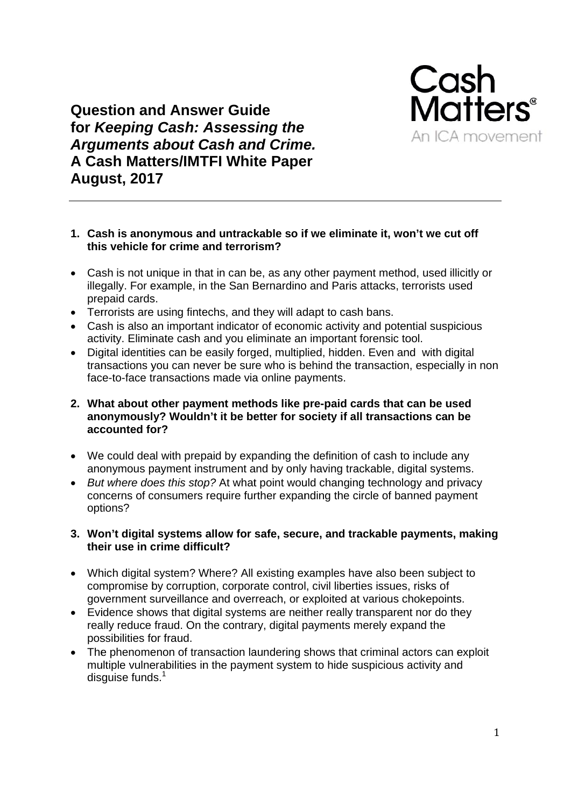

**Question and Answer Guide** for Keeping Cash: Assessing the **Arguments about Cash and Crime.** A Cash Matters/IMTFI White Paper **August, 2017** 

# 1. Cash is anonymous and untrackable so if we eliminate it, won't we cut off this vehicle for crime and terrorism?

- Cash is not unique in that in can be, as any other payment method, used illicitly or illegally. For example, in the San Bernardino and Paris attacks, terrorists used prepaid cards.
- Terrorists are using fintechs, and they will adapt to cash bans.
- Cash is also an important indicator of economic activity and potential suspicious activity. Eliminate cash and you eliminate an important forensic tool.
- Digital identities can be easily forged, multiplied, hidden. Even and with digital transactions you can never be sure who is behind the transaction, especially in non face-to-face transactions made via online payments.

# 2. What about other payment methods like pre-paid cards that can be used anonymously? Wouldn't it be better for society if all transactions can be accounted for?

- We could deal with prepaid by expanding the definition of cash to include any anonymous payment instrument and by only having trackable, digital systems.
- But where does this stop? At what point would changing technology and privacy concerns of consumers require further expanding the circle of banned payment options?

# 3. Won't digital systems allow for safe, secure, and trackable payments, making their use in crime difficult?

- Which digital system? Where? All existing examples have also been subject to compromise by corruption, corporate control, civil liberties issues, risks of government surveillance and overreach, or exploited at various chokepoints.
- Evidence shows that digital systems are neither really transparent nor do they really reduce fraud. On the contrary, digital payments merely expand the possibilities for fraud.
- The phenomenon of transaction laundering shows that criminal actors can exploit multiple vulnerabilities in the payment system to hide suspicious activity and disquise funds. $1$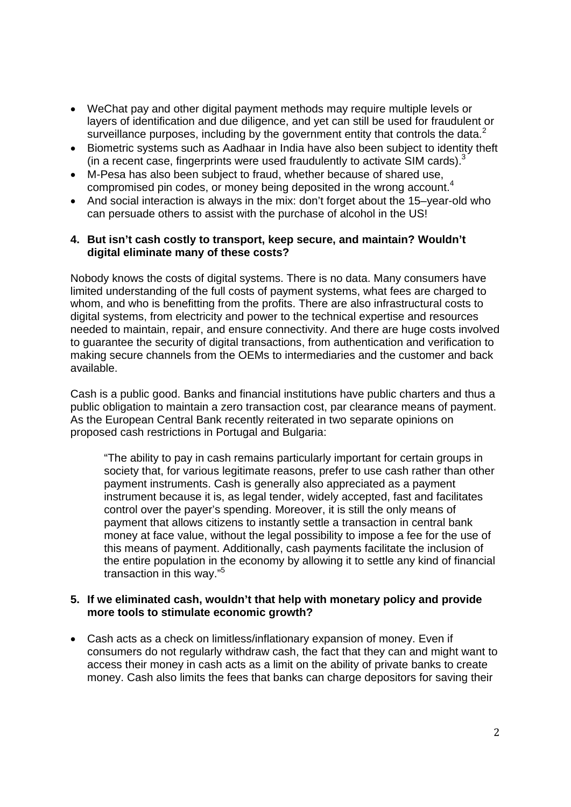- WeChat pay and other digital payment methods may require multiple levels or layers of identification and due diligence, and yet can still be used for fraudulent or surveillance purposes, including by the government entity that controls the data. $^2$
- Biometric systems such as Aadhaar in India have also been subject to identity theft (in a recent case, fingerprints were used fraudulently to activate SIM cards). $3$
- M-Pesa has also been subject to fraud, whether because of shared use, compromised pin codes, or money being deposited in the wrong account.<sup>4</sup>
- And social interaction is always in the mix: don't forget about the 15–year-old who can persuade others to assist with the purchase of alcohol in the US!

### **4. But isn't cash costly to transport, keep secure, and maintain? Wouldn't digital eliminate many of these costs?**

Nobody knows the costs of digital systems. There is no data. Many consumers have limited understanding of the full costs of payment systems, what fees are charged to whom, and who is benefitting from the profits. There are also infrastructural costs to digital systems, from electricity and power to the technical expertise and resources needed to maintain, repair, and ensure connectivity. And there are huge costs involved to guarantee the security of digital transactions, from authentication and verification to making secure channels from the OEMs to intermediaries and the customer and back available.

Cash is a public good. Banks and financial institutions have public charters and thus a public obligation to maintain a zero transaction cost, par clearance means of payment. As the European Central Bank recently reiterated in two separate opinions on proposed cash restrictions in Portugal and Bulgaria:

"The ability to pay in cash remains particularly important for certain groups in society that, for various legitimate reasons, prefer to use cash rather than other payment instruments. Cash is generally also appreciated as a payment instrument because it is, as legal tender, widely accepted, fast and facilitates control over the payer's spending. Moreover, it is still the only means of payment that allows citizens to instantly settle a transaction in central bank money at face value, without the legal possibility to impose a fee for the use of this means of payment. Additionally, cash payments facilitate the inclusion of the entire population in the economy by allowing it to settle any kind of financial transaction in this way."5

### **5. If we eliminated cash, wouldn't that help with monetary policy and provide more tools to stimulate economic growth?**

 Cash acts as a check on limitless/inflationary expansion of money. Even if consumers do not regularly withdraw cash, the fact that they can and might want to access their money in cash acts as a limit on the ability of private banks to create money. Cash also limits the fees that banks can charge depositors for saving their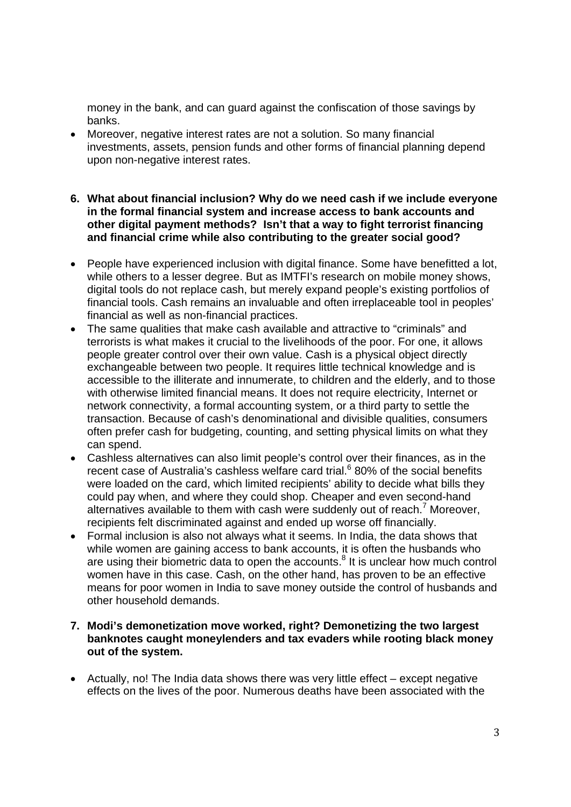money in the bank, and can guard against the confiscation of those savings by banks.

- Moreover, negative interest rates are not a solution. So many financial investments, assets, pension funds and other forms of financial planning depend upon non-negative interest rates.
- **6. What about financial inclusion? Why do we need cash if we include everyone in the formal financial system and increase access to bank accounts and other digital payment methods? Isn't that a way to fight terrorist financing and financial crime while also contributing to the greater social good?**
- People have experienced inclusion with digital finance. Some have benefitted a lot, while others to a lesser degree. But as IMTFI's research on mobile money shows, digital tools do not replace cash, but merely expand people's existing portfolios of financial tools. Cash remains an invaluable and often irreplaceable tool in peoples' financial as well as non-financial practices.
- The same qualities that make cash available and attractive to "criminals" and terrorists is what makes it crucial to the livelihoods of the poor. For one, it allows people greater control over their own value. Cash is a physical object directly exchangeable between two people. It requires little technical knowledge and is accessible to the illiterate and innumerate, to children and the elderly, and to those with otherwise limited financial means. It does not require electricity, Internet or network connectivity, a formal accounting system, or a third party to settle the transaction. Because of cash's denominational and divisible qualities, consumers often prefer cash for budgeting, counting, and setting physical limits on what they can spend.
- Cashless alternatives can also limit people's control over their finances, as in the recent case of Australia's cashless welfare card trial.<sup>6</sup> 80% of the social benefits were loaded on the card, which limited recipients' ability to decide what bills they could pay when, and where they could shop. Cheaper and even second-hand alternatives available to them with cash were suddenly out of reach.<sup>7</sup> Moreover, recipients felt discriminated against and ended up worse off financially.
- Formal inclusion is also not always what it seems. In India, the data shows that while women are gaining access to bank accounts, it is often the husbands who are using their biometric data to open the accounts. $8$  It is unclear how much control women have in this case. Cash, on the other hand, has proven to be an effective means for poor women in India to save money outside the control of husbands and other household demands.
- **7. Modi's demonetization move worked, right? Demonetizing the two largest banknotes caught moneylenders and tax evaders while rooting black money out of the system.**
- Actually, no! The India data shows there was very little effect except negative effects on the lives of the poor. Numerous deaths have been associated with the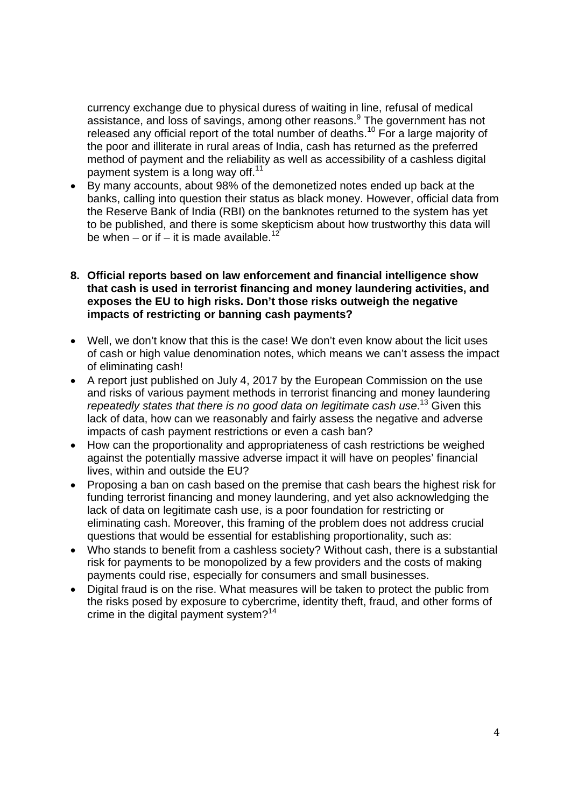currency exchange due to physical duress of waiting in line, refusal of medical assistance, and loss of savings, among other reasons.<sup>9</sup> The government has not released any official report of the total number of deaths.<sup>10</sup> For a large majority of the poor and illiterate in rural areas of India, cash has returned as the preferred method of payment and the reliability as well as accessibility of a cashless digital payment system is a long way off. $11$ 

 By many accounts, about 98% of the demonetized notes ended up back at the banks, calling into question their status as black money. However, official data from the Reserve Bank of India (RBI) on the banknotes returned to the system has yet to be published, and there is some skepticism about how trustworthy this data will be when – or if – it is made available.<sup>12</sup>

## **8. Official reports based on law enforcement and financial intelligence show that cash is used in terrorist financing and money laundering activities, and exposes the EU to high risks. Don't those risks outweigh the negative impacts of restricting or banning cash payments?**

- Well, we don't know that this is the case! We don't even know about the licit uses of cash or high value denomination notes, which means we can't assess the impact of eliminating cash!
- A report just published on July 4, 2017 by the European Commission on the use and risks of various payment methods in terrorist financing and money laundering repeatedly states that there is no good data on legitimate cash use.<sup>13</sup> Given this lack of data, how can we reasonably and fairly assess the negative and adverse impacts of cash payment restrictions or even a cash ban?
- How can the proportionality and appropriateness of cash restrictions be weighed against the potentially massive adverse impact it will have on peoples' financial lives, within and outside the EU?
- Proposing a ban on cash based on the premise that cash bears the highest risk for funding terrorist financing and money laundering, and yet also acknowledging the lack of data on legitimate cash use, is a poor foundation for restricting or eliminating cash. Moreover, this framing of the problem does not address crucial questions that would be essential for establishing proportionality, such as:
- Who stands to benefit from a cashless society? Without cash, there is a substantial risk for payments to be monopolized by a few providers and the costs of making payments could rise, especially for consumers and small businesses.
- Digital fraud is on the rise. What measures will be taken to protect the public from the risks posed by exposure to cybercrime, identity theft, fraud, and other forms of crime in the digital payment system?<sup>14</sup>